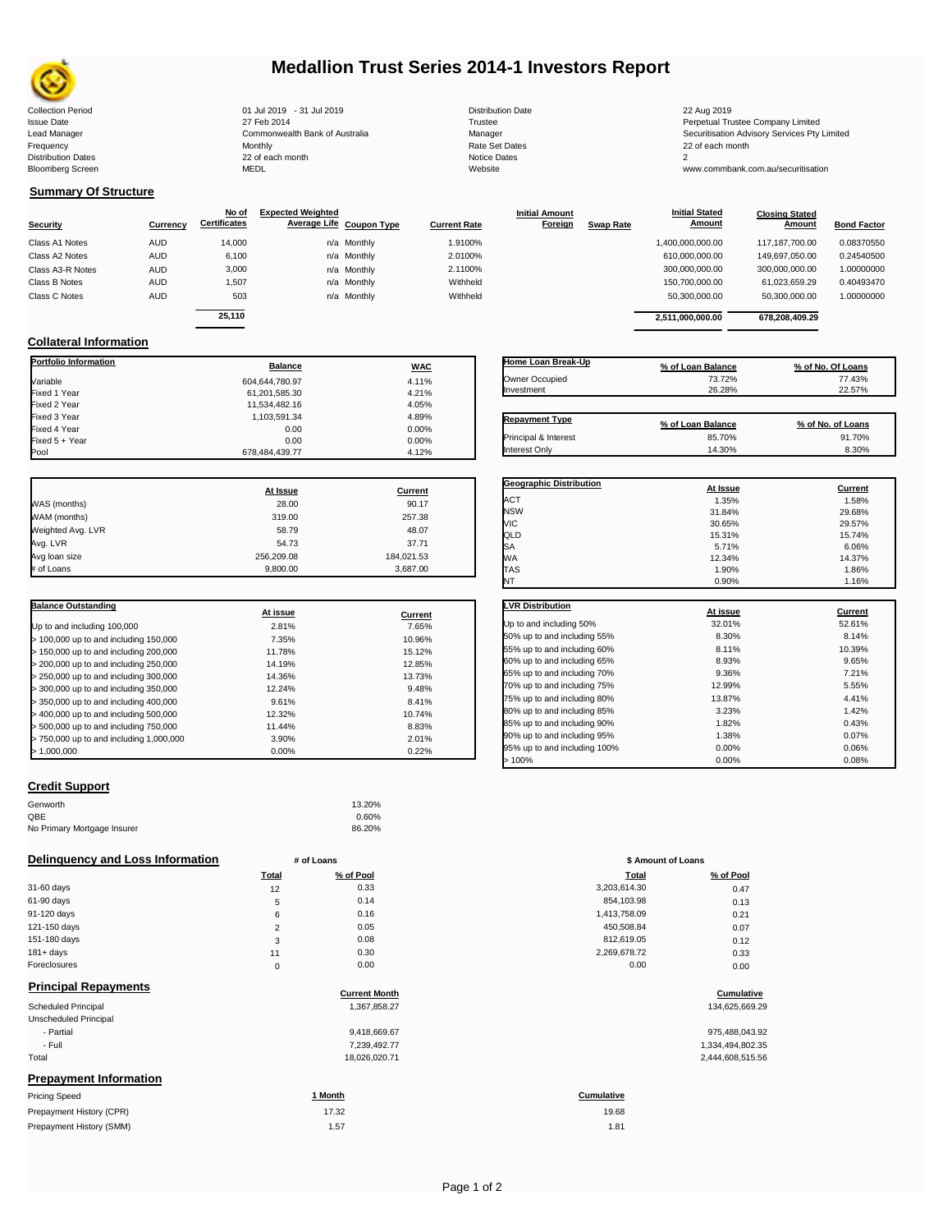

# **Medallion Trust Series 2014-1 Investors Report**

| <b>Collection Period</b>  | 01 Jul 2019 - 31 Jul 2019      | <b>Distribution Date</b> | 22 Aug 2019                             |
|---------------------------|--------------------------------|--------------------------|-----------------------------------------|
| <b>Issue Date</b>         | 27 Feb 2014                    | Trustee                  | Perpetual Trustee Company Limited       |
| Lead Manager              | Commonwealth Bank of Australia | Manager                  | Securitisation Advisory Services Pty Li |
| Frequency                 | Monthly                        | <b>Rate Set Dates</b>    | 22 of each month                        |
| <b>Distribution Dates</b> | 22 of each month               | Notice Dates             |                                         |
| <b>Bloomberg Screen</b>   | <b>MEDL</b>                    | Website                  | www.commbank.com.au/securitisation      |
|                           |                                |                          |                                         |

| 31 Jul 2019              |  |
|--------------------------|--|
| <b>Bank of Australia</b> |  |
| th                       |  |
|                          |  |

**At Issue Current**

**At issue Current**

**Delinquency and Loss Information** # of Loans

 $> 500,000$  up to and including 750,000

| 31-60 days   | 12 | 0.33 | 3,203,614.30 | 0.47 |
|--------------|----|------|--------------|------|
| 61-90 days   | 5  | 0.14 | 854,103.98   | 0.13 |
| 91-120 days  | 6  | 0.16 | 1.413.758.09 | 0.21 |
| 121-150 days |    | 0.05 | 450.508.84   | 0.07 |
| 151-180 days | 3  | 0.08 | 812.619.05   | 0.12 |
| $181 + days$ | 11 | 0.30 | 2,269,678.72 | 0.33 |
| Foreclosures |    | 0.00 | 0.00         | 0.00 |

Genworth 13.20%  $QBE$  0.60% No Primary Mortgage Insurer 86.20%

## **Principal Repayments**

| <b>Principal Repayments</b>   | <b>Current Month</b> | Cumulative       |
|-------------------------------|----------------------|------------------|
| <b>Scheduled Principal</b>    | 1,367,858.27         | 134,625,669.29   |
| Unscheduled Principal         |                      |                  |
| - Partial                     | 9,418,669.67         | 975,488,043.92   |
| - Full                        | 7,239,492.77         | 1,334,494,802.35 |
| Total                         | 18,026,020.71        | 2,444,608,515.56 |
| <b>Prepayment Information</b> |                      |                  |
| <b>Pricing Speed</b>          | 1 Month              | Cumulative       |
| Prepayment History (CPR)      | 17.32                | 19.68            |

| <b>Pricing Speed</b>     |
|--------------------------|
| Prepayment History (CPR) |
| Prepayment History (SMM) |

| <b>Bank of Australia</b> |  |
|--------------------------|--|
| h                        |  |
|                          |  |

| <b>Distribution Date</b> |
|--------------------------|
| Trustee                  |
| Manager                  |
| Rate Set Dates           |
| Notice Dates             |
| Website                  |
|                          |

## **Summary Of Structure**

**Collateral Information**

Weighted Avg. LVR<br>Avg. LVR

**Balance Outstanding**

 $> 1,000,000$ 

**Credit Support**

| Security         | Currency   | No of<br><b>Certificates</b> | <b>Expected Weighted</b><br>Average Life Coupon Type | <b>Current Rate</b> | <b>Initial Amount</b><br><b>Foreign</b> | <b>Initial Stated</b><br><b>Amount</b><br><b>Swap Rate</b> | <b>Closing Stated</b><br>Amount | <b>Bond Factor</b> |
|------------------|------------|------------------------------|------------------------------------------------------|---------------------|-----------------------------------------|------------------------------------------------------------|---------------------------------|--------------------|
| Class A1 Notes   | <b>AUD</b> | 14,000                       | n/a Monthly                                          | 1.9100%             |                                         | 1,400,000,000.00                                           | 117, 187, 700.00                | 0.08370550         |
| Class A2 Notes   | <b>AUD</b> | 6.100                        | n/a Monthly                                          | 2.0100%             |                                         | 610.000.000.00                                             | 149.697.050.00                  | 0.24540500         |
| Class A3-R Notes | <b>AUD</b> | 3,000                        | n/a Monthly                                          | 2.1100%             |                                         | 300,000,000.00                                             | 300,000,000.00                  | 1.00000000         |
| Class B Notes    | <b>AUD</b> | 1,507                        | n/a Monthly                                          | Withheld            |                                         | 150,700,000.00                                             | 61,023,659.29                   | 0.40493470         |
| Class C Notes    | <b>AUD</b> | 503                          | n/a Monthly                                          | Withheld            |                                         | 50,300,000.00                                              | 50,300,000.00                   | 1.00000000         |
|                  |            | 25.110                       |                                                      |                     |                                         | 2.511.000.000.00                                           | 678.208.409.29                  |                    |

**Portfolio Information**<br> **Balance WAC** Variable 604,644,780.97 4.11% Fixed 1 Year 61,201,585.30 4.21% Fixed 2 Year 11,534,482.16 4.05% Fixed 3 Year 4.89% Fixed 4 Year 0.00% and the contract of the contract of the contract of the contract of the contract of the contract of the contract of the contract of the contract of the contract of the contract of the contract of the con Fixed 5 + Year 0.00% 0.00% 0.00% 0.00% 0.00% 0.00% 0.00% 0.00% 0.00% 0.00% 0.00% 0.00% 0.00% 0.00% 0.00% 0.00<br>|- 0.000 0.000 0.000 0.000 0.000 0.000 0.000 0.000 0.000 0.000 0.000 0.000 0.000 0.000 0.000 0.000 0.000 0.000

WAS (months) 28.00 90.17 WAM (months) 319.00 257.38

Avg. LVR 54.73 37.71 er values and the 256,209.08 184,021.53 # of Loans 9,800.00 3,687.00

Up to and including 100,000 2.81% 7.65% > 100,000 up to and including 150,000 7.35% 10.96% > 150,000 up to and including 200,000 11.78% 15.12% > 200,000 up to and including 250,000 14.19% 12.85% > 250,000 up to and including 300,000 14.36% 13.73% > 300,000 up to and including 350,000 12.24% 9.48% > 350,000 up to and including 400,000 9.61% 8.41% > 400,000 up to and including 500,000 12.32% 10.74%

> 750,000 up to and including 1,000,000 3.90% 2.01%

678,484,439.77

| Home Loan Break-Up    | % of Loan Balance | % of No. Of Loans |
|-----------------------|-------------------|-------------------|
| Owner Occupied        | 73.72%            | 77.43%            |
| Investment            | 26.28%            | 22.57%            |
|                       |                   |                   |
| <b>Repayment Type</b> | % of Loan Balance | % of No. of Loans |
| Principal & Interest  | 85.70%            | 91.70%            |
| Interest Only         | 14.30%            | 8.30%             |

| <b>Geographic Distribution</b> | At Issue | Current |
|--------------------------------|----------|---------|
| ACT                            | 1.35%    | 1.58%   |
| <b>NSW</b>                     | 31.84%   | 29.68%  |
| VIC                            | 30.65%   | 29.57%  |
| QLD                            | 15.31%   | 15.74%  |
| SA                             | 5.71%    | 6.06%   |
| <b>WA</b>                      | 12.34%   | 14.37%  |
| <b>TAS</b>                     | 1.90%    | 1.86%   |
| NT                             | 0.90%    | 1.16%   |

| <b>LVR Distribution</b>      | At issue | Current |
|------------------------------|----------|---------|
| Up to and including 50%      | 32.01%   | 52.61%  |
| 50% up to and including 55%  | 8.30%    | 8.14%   |
| 55% up to and including 60%  | 8.11%    | 10.39%  |
| 60% up to and including 65%  | 8.93%    | 9.65%   |
| 65% up to and including 70%  | 9.36%    | 7.21%   |
| 70% up to and including 75%  | 12.99%   | 5.55%   |
| 75% up to and including 80%  | 13.87%   | 4.41%   |
| 80% up to and including 85%  | 3.23%    | 1.42%   |
| 85% up to and including 90%  | 1.82%    | 0.43%   |
| 90% up to and including 95%  | 1.38%    | 0.07%   |
| 95% up to and including 100% | 0.00%    | 0.06%   |
| 100%                         | 0.00%    | 0.08%   |

| # of Loans     |           | \$ Amount of Loans |           |  |
|----------------|-----------|--------------------|-----------|--|
| Total          | % of Pool | Total              | % of Pool |  |
| 12             | 0.33      | 3,203,614.30       | 0.47      |  |
| 5              | 0.14      | 854,103.98         | 0.13      |  |
| 6              | 0.16      | 1,413,758.09       | 0.21      |  |
| $\overline{2}$ | 0.05      | 450,508.84         | 0.07      |  |
| 3              | 0.08      | 812,619.05         | 0.12      |  |
| 11             | 0.30      | 2,269,678.72       | 0.33      |  |
| $\mathbf 0$    | 0.00      | 0.00               | 0.00      |  |

# **Cumulative Cumulative**

**1.57** 1.81 19.68